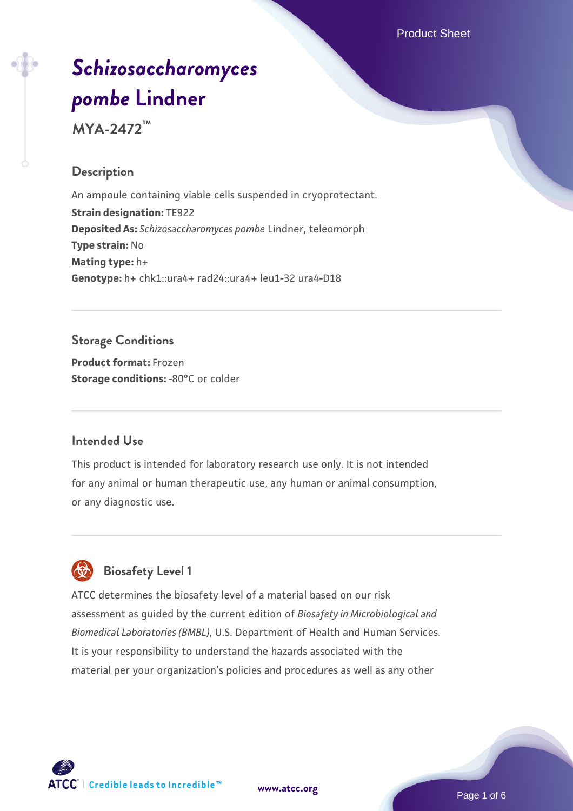Product Sheet

# *[Schizosaccharomyces](https://www.atcc.org/products/mya-2472) [pombe](https://www.atcc.org/products/mya-2472)* **[Lindner](https://www.atcc.org/products/mya-2472)**

**MYA-2472™**

## **Description**

An ampoule containing viable cells suspended in cryoprotectant. **Strain designation:** TE922 **Deposited As:** *Schizosaccharomyces pombe* Lindner, teleomorph **Type strain:** No **Mating type:** h+ **Genotype:** h+ chk1::ura4+ rad24::ura4+ leu1-32 ura4-D18

## **Storage Conditions**

**Product format:** Frozen **Storage conditions: -80°C or colder** 

## **Intended Use**

This product is intended for laboratory research use only. It is not intended for any animal or human therapeutic use, any human or animal consumption, or any diagnostic use.



# **Biosafety Level 1**

ATCC determines the biosafety level of a material based on our risk assessment as guided by the current edition of *Biosafety in Microbiological and Biomedical Laboratories (BMBL)*, U.S. Department of Health and Human Services. It is your responsibility to understand the hazards associated with the material per your organization's policies and procedures as well as any other



Page 1 of 6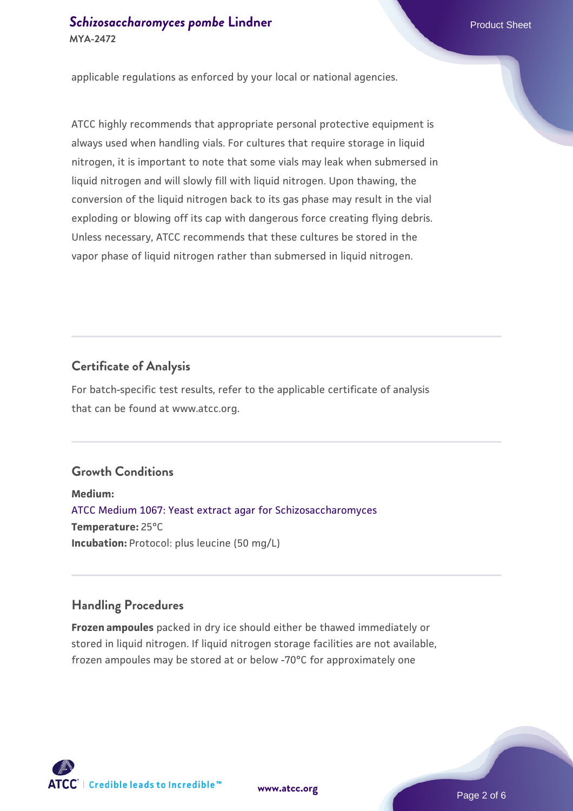applicable regulations as enforced by your local or national agencies.

ATCC highly recommends that appropriate personal protective equipment is always used when handling vials. For cultures that require storage in liquid nitrogen, it is important to note that some vials may leak when submersed in liquid nitrogen and will slowly fill with liquid nitrogen. Upon thawing, the conversion of the liquid nitrogen back to its gas phase may result in the vial exploding or blowing off its cap with dangerous force creating flying debris. Unless necessary, ATCC recommends that these cultures be stored in the vapor phase of liquid nitrogen rather than submersed in liquid nitrogen.

## **Certificate of Analysis**

For batch-specific test results, refer to the applicable certificate of analysis that can be found at www.atcc.org.

## **Growth Conditions**

**Medium:**  [ATCC Medium 1067: Yeast extract agar for Schizosaccharomyces](https://www.atcc.org/-/media/product-assets/documents/microbial-media-formulations/atcc-medium-1067.pdf?rev=a2c0da8c6b3c41e385f7db117142f7aa) **Temperature:** 25°C **Incubation:** Protocol: plus leucine (50 mg/L)

## **Handling Procedures**

**Frozen ampoules** packed in dry ice should either be thawed immediately or stored in liquid nitrogen. If liquid nitrogen storage facilities are not available, frozen ampoules may be stored at or below -70°C for approximately one



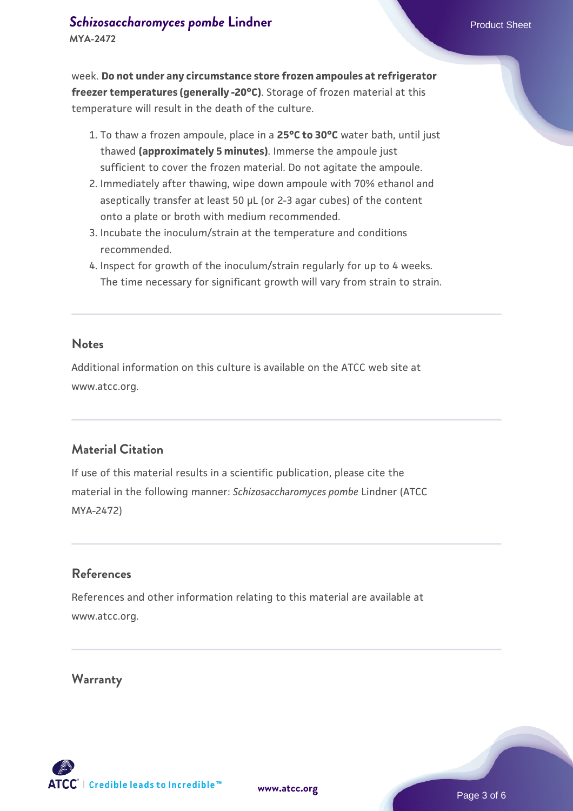## **[Schizosaccharomyces pombe](https://www.atcc.org/products/mya-2472)** [Lindner](https://www.atcc.org/products/mya-2472) **Product Sheet** Product Sheet **MYA-2472**

week. **Do not under any circumstance store frozen ampoules at refrigerator freezer temperatures (generally -20°C)**. Storage of frozen material at this temperature will result in the death of the culture.

- 1. To thaw a frozen ampoule, place in a **25°C to 30°C** water bath, until just thawed **(approximately 5 minutes)**. Immerse the ampoule just sufficient to cover the frozen material. Do not agitate the ampoule.
- 2. Immediately after thawing, wipe down ampoule with 70% ethanol and aseptically transfer at least 50 µL (or 2-3 agar cubes) of the content onto a plate or broth with medium recommended.
- Incubate the inoculum/strain at the temperature and conditions 3. recommended.
- 4. Inspect for growth of the inoculum/strain regularly for up to 4 weeks. The time necessary for significant growth will vary from strain to strain.

#### **Notes**

Additional information on this culture is available on the ATCC web site at www.atcc.org.

## **Material Citation**

If use of this material results in a scientific publication, please cite the material in the following manner: *Schizosaccharomyces pombe* Lindner (ATCC MYA-2472)

## **References**

References and other information relating to this material are available at www.atcc.org.

## **Warranty**

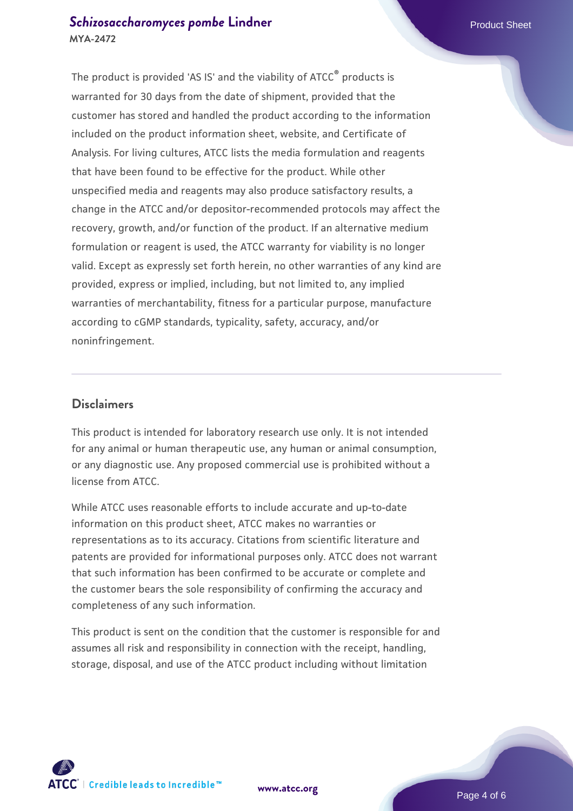## **[Schizosaccharomyces pombe](https://www.atcc.org/products/mya-2472)** [Lindner](https://www.atcc.org/products/mya-2472) **Product Sheet** Product Sheet **MYA-2472**

The product is provided 'AS IS' and the viability of ATCC® products is warranted for 30 days from the date of shipment, provided that the customer has stored and handled the product according to the information included on the product information sheet, website, and Certificate of Analysis. For living cultures, ATCC lists the media formulation and reagents that have been found to be effective for the product. While other unspecified media and reagents may also produce satisfactory results, a change in the ATCC and/or depositor-recommended protocols may affect the recovery, growth, and/or function of the product. If an alternative medium formulation or reagent is used, the ATCC warranty for viability is no longer valid. Except as expressly set forth herein, no other warranties of any kind are provided, express or implied, including, but not limited to, any implied warranties of merchantability, fitness for a particular purpose, manufacture according to cGMP standards, typicality, safety, accuracy, and/or noninfringement.

## **Disclaimers**

This product is intended for laboratory research use only. It is not intended for any animal or human therapeutic use, any human or animal consumption, or any diagnostic use. Any proposed commercial use is prohibited without a license from ATCC.

While ATCC uses reasonable efforts to include accurate and up-to-date information on this product sheet, ATCC makes no warranties or representations as to its accuracy. Citations from scientific literature and patents are provided for informational purposes only. ATCC does not warrant that such information has been confirmed to be accurate or complete and the customer bears the sole responsibility of confirming the accuracy and completeness of any such information.

This product is sent on the condition that the customer is responsible for and assumes all risk and responsibility in connection with the receipt, handling, storage, disposal, and use of the ATCC product including without limitation



**[www.atcc.org](http://www.atcc.org)**

Page 4 of 6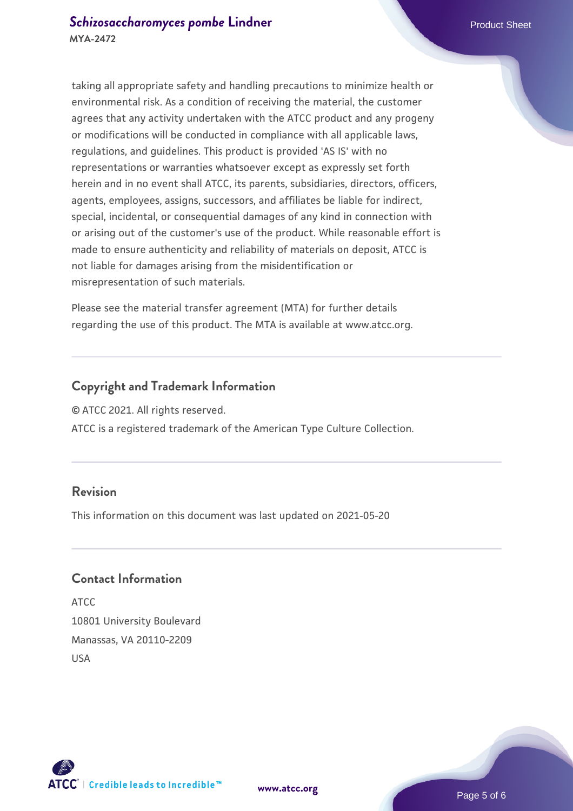taking all appropriate safety and handling precautions to minimize health or environmental risk. As a condition of receiving the material, the customer agrees that any activity undertaken with the ATCC product and any progeny or modifications will be conducted in compliance with all applicable laws, regulations, and guidelines. This product is provided 'AS IS' with no representations or warranties whatsoever except as expressly set forth herein and in no event shall ATCC, its parents, subsidiaries, directors, officers, agents, employees, assigns, successors, and affiliates be liable for indirect, special, incidental, or consequential damages of any kind in connection with or arising out of the customer's use of the product. While reasonable effort is made to ensure authenticity and reliability of materials on deposit, ATCC is not liable for damages arising from the misidentification or misrepresentation of such materials.

Please see the material transfer agreement (MTA) for further details regarding the use of this product. The MTA is available at www.atcc.org.

## **Copyright and Trademark Information**

© ATCC 2021. All rights reserved.

ATCC is a registered trademark of the American Type Culture Collection.

## **Revision**

This information on this document was last updated on 2021-05-20

## **Contact Information**

ATCC 10801 University Boulevard Manassas, VA 20110-2209 USA